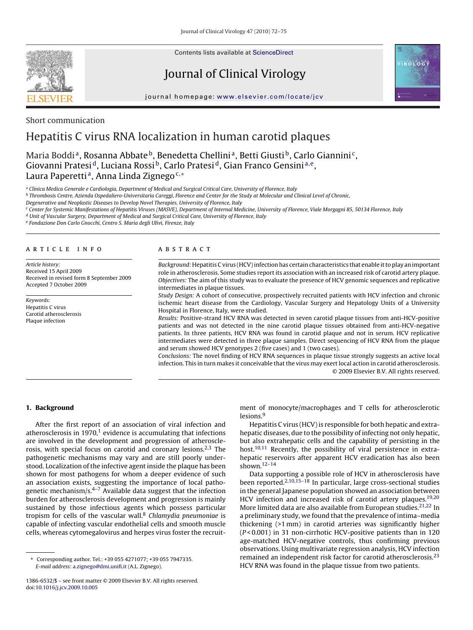Contents lists available at [ScienceDirect](http://www.sciencedirect.com/science/journal/13866532)

# Journal of Clinical Virology

journal homepage: [www.elsevier.com/locate/jcv](http://www.elsevier.com/locate/jcv)



Short communication

## Hepatitis C virus RNA localization in human carotid plaques

Maria Boddi<sup>a</sup>, Rosanna Abbate<sup>b</sup>, Benedetta Chellini<sup>a</sup>, Betti Giusti<sup>b</sup>, Carlo Giannini<sup>c</sup>, Giovanni Pratesi<sup>d</sup>, Luciana Rossi<sup>b</sup>, Carlo Pratesi<sup>d</sup>, Gian Franco Gensini<sup>a, e</sup>, Laura Paperetti<sup>a</sup>, Anna Linda Zignego<sup>c,\*</sup>

<sup>a</sup> Clinica Medica Generale e Cardiologia, Department of Medical and Surgical Critical Care, University of Florence, Italy

<sup>b</sup> Thrombosis Centre, Azienda Ospedaliero-Universitaria Careggi, Florence and Center for the Study at Molecular and Clinical Level of Chronic,

Degenerative and Neoplastic Diseases to Develop Novel Therapies, University of Florence, Italy

<sup>c</sup> Center for Systemic Manifestations of Hepatitis Viruses (MASVE), Department of Internal Medicine, University of Florence, Viale Morgagni 85, 50134 Florence, Italy

<sup>d</sup> Unit of Vascular Surgery, Department of Medical and Surgical Critical Care, University of Florence, Italy

<sup>e</sup> Fondazione Don Carlo Gnocchi, Centro S. Maria degli Ulivi, Firenze, Italy

## article info

Article history: Received 15 April 2009 Received in revised form 8 September 2009 Accepted 7 October 2009

Keywords: Hepatitis C virus Carotid atherosclerosis Plaque infection

#### **ABSTRACT**

Background: Hepatitis C virus (HCV) infection has certain characteristics that enable it to play an important role in atherosclerosis. Some studies report its association with an increased risk of carotid artery plaque. Objectives: The aim of this study was to evaluate the presence of HCV genomic sequences and replicative intermediates in plaque tissues.

Study Design: A cohort of consecutive, prospectively recruited patients with HCV infection and chronic ischemic heart disease from the Cardiology, Vascular Surgery and Hepatology Units of a University Hospital in Florence, Italy, were studied.

Results: Positive-strand HCV RNA was detected in seven carotid plaque tissues from anti-HCV-positive patients and was not detected in the nine carotid plaque tissues obtained from anti-HCV-negative patients. In three patients, HCV RNA was found in carotid plaque and not in serum. HCV replicative intermediates were detected in three plaque samples. Direct sequencing of HCV RNA from the plaque and serum showed HCV genotypes 2 (five cases) and 1 (two cases).

Conclusions: The novel finding of HCV RNA sequences in plaque tissue strongly suggests an active local infection. This in turn makes it conceivable that the virus may exert local action in carotid atherosclerosis. © 2009 Elsevier B.V. All rights reserved.

#### **1. Background**

After the first report of an association of viral infection and atherosclerosis in  $1970<sup>1</sup>$  evidence is accumulating that infections are involved in the development and progression of atheroscle-rosis, with special focus on carotid and coronary lesions.<sup>[2,3](#page-3-0)</sup> The pathogenetic mechanisms may vary and are still poorly understood. Localization of the infective agent inside the plaque has been shown for most pathogens for whom a deeper evidence of such an association exists, suggesting the importance of local pathogenetic mechanism/s. $4-7$  Available data suggest that the infection burden for atherosclerosis development and progression is mainly sustained by those infectious agents which possess particular tropism for cells of the vascular wall.[8](#page-3-0) Chlamydia pneumoniae is capable of infecting vascular endothelial cells and smooth muscle cells, whereas cytomegalovirus and herpes virus foster the recruitment of monocyte/macrophages and T cells for atherosclerotic lesions.<sup>[9](#page-3-0)</sup>

Hepatitis C virus (HCV) is responsible for both hepatic and extrahepatic diseases, due to the possibility of infecting not only hepatic, but also extrahepatic cells and the capability of persisting in the host.<sup>[10,11](#page-3-0)</sup> Recently, the possibility of viral persistence in extrahepatic reservoirs after apparent HCV eradication has also been shown.[12–14](#page-3-0)

Data supporting a possible role of HCV in atherosclerosis have been reported[.2,10,15–18](#page-3-0) In particular, large cross-sectional studies in the general Japanese population showed an association between HCV infection and increased risk of carotid artery plaques.<sup>19,20</sup> More limited data are also available from European studies.[21,22](#page-3-0) In a preliminary study, we found that the prevalence of intima–media thickening (>1 mm) in carotid arteries was significantly higher (P < 0.001) in 31 non-cirrhotic HCV-positive patients than in 120 age-matched HCV-negative controls, thus confirming previous observations. Using multivariate regression analysis, HCV infection remained an independent risk factor for carotid atherosclerosis[.23](#page-3-0) HCV RNA was found in the plaque tissue from two patients.

<sup>∗</sup> Corresponding author. Tel.: +39 055 4271077; +39 055 7947335. E-mail address: [a.zignego@dmi.unifi.it](mailto:a.zignego@dmi.unifi.it) (A.L. Zignego).

<sup>1386-6532/\$ –</sup> see front matter © 2009 Elsevier B.V. All rights reserved. doi:[10.1016/j.jcv.2009.10.005](dx.doi.org/10.1016/j.jcv.2009.10.005)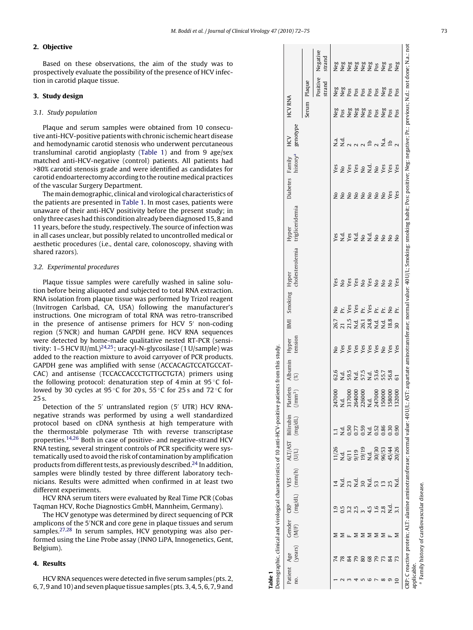## <span id="page-1-0"></span>**2. Objective**

Based on these observations, the aim of the study was to prospectively evaluate the possibility of the presence of HCV infection in carotid plaque tissue.

## **3. Study design**

#### 3.1. Study population

Plaque and serum samples were obtained from 10 consecutive anti-HCV-positive patients with chronic ischemic heart disease and hemodynamic carotid stenosis who underwent percutaneous transluminal carotid angioplasty (Table 1) and from 9 age/sex matched anti-HCV-negative (control) patients. All patients had >80% carotid stenosis grade and were identified as candidates for carotid endoarterectomy according to the routinemedical practices of the vascular Surgery Department.

The main demographic, clinical and virological characteristics of the patients are presented in Table 1. In most cases, patients were unaware of their anti-HCV positivity before the present study; in only three cases had this condition already been diagnosed 15, 8 and 11 years, before the study, respectively. The source of infection was in all cases unclear, but possibly related to uncontrolled medical or aesthetic procedures (i.e., dental care, colonoscopy, shaving with shared razors).

## 3.2. Experimental procedures

Plaque tissue samples were carefully washed in saline solution before being aliquoted and subjected to total RNA extraction. RNA isolation from plaque tissue was performed by Trizol reagent (Invitrogen Carlsbad, CA, USA) following the manufacturer's instructions. One microgram of total RNA was retro-transcribed in the presence of antisense primers for HCV 5 non-coding region (5 NCR) and human GAPDH gene. HCV RNA sequences were detected by home-made qualitative nested RT-PCR (sensitivity:  $1-5$  HCV IU/mL)<sup>24,25</sup>; uracyl-N-glycosilase (1 U/sample) was added to the reaction mixture to avoid carryover of PCR products. GAPDH gene was amplified with sense (ACCACAGTCCATGCCAT-CAC) and antisense (TCCACCACCCTGTTGCTGTA) primers using the following protocol: denaturation step of 4 min at 95 ◦C followed by 30 cycles at 95 ◦C for 20 s, 55 ◦C for 25 s and 72 ◦C for 25 s.

Detection of the 5' untranslated region (5' UTR) HCV RNAnegative strands was performed by using a well standardized protocol based on cDNA synthesis at high temperature with the thermostable polymerase Tth with reverse transcriptase properties[.14,26](#page-3-0) Both in case of positive- and negative-strand HCV RNA testing, several stringent controls of PCR specificity were systematically used to avoid the risk of contamination by amplification products from different tests, as previously described.[24](#page-3-0) In addition, samples were blindly tested by three different laboratory technicians. Results were admitted when confirmed in at least two different experiments.

HCV RNA serum titers were evaluated by Real Time PCR (Cobas Taqman HCV, Roche Diagnostics GmbH, Mannheim, Germany).

The HCV genotype was determined by direct sequencing of PCR amplicons of the 5 NCR and core gene in plaque tissues and serum samples[.27,28](#page-3-0) In serum samples, HCV genotyping was also performed using the Line Probe assay (INNO LiPA, Innogenetics, Gent, Belgium).

## **4. Results**

HCV RNA sequences were detected in five serum samples (pts. 2, 6, 7, 9 and 10) and seven plaque tissue samples (pts. 3, 4, 5, 6, 7, 9 and

| Table          |                |                 |               |                           |                                            | Demographic, clinical and virological characteristics of 10 anti-HCV-positive patients from this study. |                                                 |                                           |                  |                                                  |                         |                                                                                                                                                                                                                               |                          |          |                                |                 |                                    |                                    |          |
|----------------|----------------|-----------------|---------------|---------------------------|--------------------------------------------|---------------------------------------------------------------------------------------------------------|-------------------------------------------------|-------------------------------------------|------------------|--------------------------------------------------|-------------------------|-------------------------------------------------------------------------------------------------------------------------------------------------------------------------------------------------------------------------------|--------------------------|----------|--------------------------------|-----------------|------------------------------------|------------------------------------|----------|
| Patient<br>no. | (years)<br>Age | Gender<br>(M/F) | CRP           | $(mg/dL)$ $(mm/h)$<br>VES | <b>ALT/AST</b><br>(U/L)                    | Bilirubin<br>(mg/dL)                                                                                    | Platelets<br>$( / \text{mm}^3 )$                | Albumin<br>$(\%)$                         | tension<br>Hyper | BMI                                              | Smoking                 | cholesterolemia<br>Hyper                                                                                                                                                                                                      | trigliceridemia<br>Hyper | Diabetes | history <sup>a</sup><br>Family | genotype<br>HCV | HCV RNA                            |                                    |          |
|                |                |                 |               |                           |                                            |                                                                                                         |                                                 |                                           |                  |                                                  |                         |                                                                                                                                                                                                                               |                          |          |                                |                 | Serum                              | Plaque                             |          |
|                |                |                 |               |                           |                                            |                                                                                                         |                                                 |                                           |                  |                                                  |                         |                                                                                                                                                                                                                               |                          |          |                                |                 |                                    | Positive                           | Negative |
|                |                |                 |               |                           |                                            |                                                                                                         |                                                 |                                           |                  |                                                  |                         |                                                                                                                                                                                                                               |                          |          |                                |                 |                                    | strand                             | strand   |
|                |                |                 |               | ₫                         | 1/26                                       |                                                                                                         | 247000                                          | 62.6                                      |                  |                                                  |                         |                                                                                                                                                                                                                               | Yes                      | ş        |                                | a.<br>Z         |                                    |                                    |          |
|                | 78             | Σ               | $\frac{5}{2}$ |                           |                                            |                                                                                                         | z.                                              |                                           |                  |                                                  |                         |                                                                                                                                                                                                                               | nd<br>Yes                |          | <b>SES</b><br>SES              |                 |                                    |                                    |          |
|                | 84             |                 |               | zazazan<br>zazazan        |                                            | t 50 50 50 50 60<br>2000 2000 50                                                                        | 317000<br>264000<br>226000<br>1247000<br>147000 |                                           |                  |                                                  |                         |                                                                                                                                                                                                                               |                          |          |                                |                 |                                    |                                    |          |
|                |                | ≅               |               |                           |                                            |                                                                                                         |                                                 |                                           |                  |                                                  |                         |                                                                                                                                                                                                                               |                          |          |                                |                 |                                    |                                    |          |
|                | 670            | Σ               |               |                           |                                            |                                                                                                         |                                                 |                                           |                  |                                                  |                         |                                                                                                                                                                                                                               | z 2 z 2                  |          | yes<br>2252x                   |                 |                                    |                                    |          |
|                | 88             | ≅               |               |                           |                                            |                                                                                                         |                                                 |                                           |                  |                                                  |                         |                                                                                                                                                                                                                               |                          |          |                                |                 |                                    |                                    |          |
|                |                | ≅               |               |                           |                                            |                                                                                                         |                                                 |                                           |                  |                                                  |                         |                                                                                                                                                                                                                               |                          |          |                                |                 |                                    |                                    |          |
|                | $\mathbb{Z}$   | ≅               | 2.8           |                           | x d.<br>6719<br>6719<br>1973, 8674<br>4545 |                                                                                                         |                                                 | 1<br>2 5 7 5 7 9 7 9 8<br>2 5 7 7 8 9 9 9 |                  | 26.7<br>21.5 d.d. 32.4.3<br>24.3 d.d. 32.3<br>30 | <b>SE SE SE SE E SE</b> |                                                                                                                                                                                                                               | $\overline{z}$           | 2222222  |                                |                 | Neg<br>Neg Beg S & S & S & S & S & | <b>Neg</b><br>Negra sa sa sa sa sa |          |
|                | 84             | $\mathbf{L}$    | نج<br>Z       | 25                        |                                            | 0.30                                                                                                    | 158000                                          |                                           |                  |                                                  |                         |                                                                                                                                                                                                                               | $\frac{1}{2}$            |          | yes<br>Yes                     | $\frac{1}{2}$   |                                    |                                    |          |
| ≘              | R              | Σ               |               |                           | 20/26                                      | 90                                                                                                      | 132000                                          | 51                                        |                  |                                                  |                         |                                                                                                                                                                                                                               | $\frac{1}{2}$            | Yes      |                                |                 |                                    |                                    |          |
| applicable.    |                |                 |               |                           |                                            |                                                                                                         |                                                 |                                           |                  |                                                  |                         | CRP: C reactive protein; ALT: alanine aminotransferase; normal value: 40U/L; AST: aspartate aminotransferase; normal value: 40U/L; Smoking; smoking habit; Pos: positive; Neg; negative; Pr.: previous; N.d.: not done; N.a.: |                          |          |                                |                 |                                    |                                    |          |
|                |                |                 |               |                           |                                            |                                                                                                         |                                                 |                                           |                  |                                                  |                         |                                                                                                                                                                                                                               |                          |          |                                |                 |                                    |                                    |          |

a

Family history of cardiovascular disease Family history of cardiovascular disease.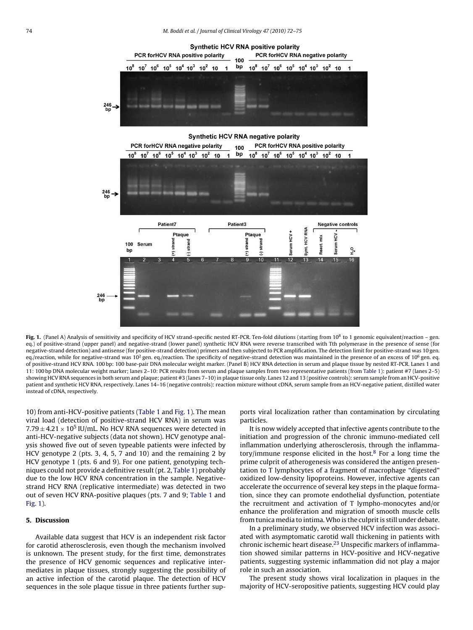

Fig. 1. (Panel A) Analysis of sensitivity and specificity of HCV strand-specific nested RT-PCR. Ten-fold dilutions (starting from 10<sup>8</sup> to 1 genomic equivalent/reaction – gen. eq.) of positive-strand (upper panel) and negative-strand (lower panel) synthetic HCV RNA were reverse transcribed with Tth polymerase in the presence of sense (for negative-strand detection) and antisense (for positive-strand detection) primers and then subjected to PCR amplification. The detection limit for positive-strand was 10 gen. eq./reaction, while for negative-strand was  $10^2$  gen. eq./reaction. The specificity of negative-strand detection was maintained in the presence of an excess of  $10^6$  gen. eq. of positive-strand HCV RNA. 100 bp: 100 base-pair DNA molecular weight marker. (Panel B) HCV RNA detection in serum and plaque tissue by nested RT-PCR. Lanes 1 and 11: 100 bp DNA molecular weight marker; lanes 2–10: PCR results from serum and plaque samples from two representative patients (from [Table 1\):](#page-1-0) patient #7 (lanes 2–5) showing HCV RNA sequences in both serum and plaque; patient #3 (lanes 7–10) in plaque tissue only. Lanes 12 and 13 (positive controls): serum sample from an HCV-positive patient and synthetic HCV RNA, respectively. Lanes 14–16 (negative controls): reaction mixture without cDNA, serum sample from an HCV-negative patient, distilled water instead of cDNA, respectively.

10) from anti-HCV-positive patients ([Table 1](#page-1-0) and Fig. 1). The mean viral load (detection of positive-strand HCV RNA) in serum was  $7.79 \pm 4.21 \times 10^5$  IU/mL. No HCV RNA sequences were detected in anti-HCV-negative subjects (data not shown). HCV genotype analysis showed five out of seven typeable patients were infected by HCV genotype 2 (pts. 3, 4, 5, 7 and 10) and the remaining 2 by HCV genotype 1 (pts. 6 and 9). For one patient, genotyping techniques could not provide a definitive result (pt. 2, [Table 1\) p](#page-1-0)robably due to the low HCV RNA concentration in the sample. Negativestrand HCV RNA (replicative intermediate) was detected in two out of seven HCV RNA-positive plaques (pts. 7 and 9; [Table 1](#page-1-0) and Fig. 1).

#### **5. Discussion**

Available data suggest that HCV is an independent risk factor for carotid atherosclerosis, even though the mechanism involved is unknown. The present study, for the first time, demonstrates the presence of HCV genomic sequences and replicative intermediates in plaque tissues, strongly suggesting the possibility of an active infection of the carotid plaque. The detection of HCV sequences in the sole plaque tissue in three patients further supports viral localization rather than contamination by circulating particles.

It is now widely accepted that infective agents contribute to the initiation and progression of the chronic immuno-mediated cell inflammation underlying atherosclerosis, through the inflammatory/immune response elicited in the host. $8$  For a long time the prime culprit of atherogenesis was considered the antigen presentation to T lymphocytes of a fragment of macrophage "digested" oxidized low-density lipoproteins. However, infective agents can accelerate the occurrence of several key steps in the plaque formation, since they can promote endothelial dysfunction, potentiate the recruitment and activation of T lympho-monocytes and/or enhance the proliferation and migration of smooth muscle cells from tunica media to intima. Who is the culprit is still under debate.

In a preliminary study, we observed HCV infection was associated with asymptomatic carotid wall thickening in patients with chronic ischemic heart disease[.23](#page-3-0) Unspecific markers of inflammation showed similar patterns in HCV-positive and HCV-negative patients, suggesting systemic inflammation did not play a major role in such an association.

The present study shows viral localization in plaques in the majority of HCV-seropositive patients, suggesting HCV could play